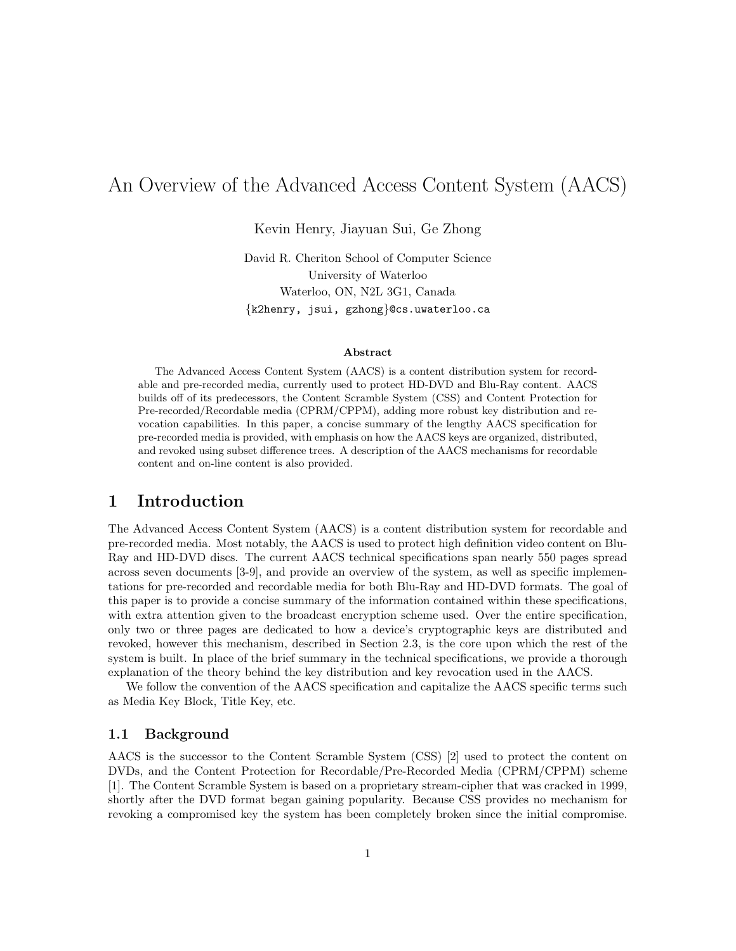# An Overview of the Advanced Access Content System (AACS)

Kevin Henry, Jiayuan Sui, Ge Zhong

David R. Cheriton School of Computer Science University of Waterloo Waterloo, ON, N2L 3G1, Canada {k2henry, jsui, gzhong}@cs.uwaterloo.ca

#### Abstract

The Advanced Access Content System (AACS) is a content distribution system for recordable and pre-recorded media, currently used to protect HD-DVD and Blu-Ray content. AACS builds off of its predecessors, the Content Scramble System (CSS) and Content Protection for Pre-recorded/Recordable media (CPRM/CPPM), adding more robust key distribution and revocation capabilities. In this paper, a concise summary of the lengthy AACS specification for pre-recorded media is provided, with emphasis on how the AACS keys are organized, distributed, and revoked using subset difference trees. A description of the AACS mechanisms for recordable content and on-line content is also provided.

## 1 Introduction

The Advanced Access Content System (AACS) is a content distribution system for recordable and pre-recorded media. Most notably, the AACS is used to protect high definition video content on Blu-Ray and HD-DVD discs. The current AACS technical specifications span nearly 550 pages spread across seven documents [3-9], and provide an overview of the system, as well as specific implementations for pre-recorded and recordable media for both Blu-Ray and HD-DVD formats. The goal of this paper is to provide a concise summary of the information contained within these specifications, with extra attention given to the broadcast encryption scheme used. Over the entire specification, only two or three pages are dedicated to how a device's cryptographic keys are distributed and revoked, however this mechanism, described in Section 2.3, is the core upon which the rest of the system is built. In place of the brief summary in the technical specifications, we provide a thorough explanation of the theory behind the key distribution and key revocation used in the AACS.

We follow the convention of the AACS specification and capitalize the AACS specific terms such as Media Key Block, Title Key, etc.

### 1.1 Background

AACS is the successor to the Content Scramble System (CSS) [2] used to protect the content on DVDs, and the Content Protection for Recordable/Pre-Recorded Media (CPRM/CPPM) scheme [1]. The Content Scramble System is based on a proprietary stream-cipher that was cracked in 1999, shortly after the DVD format began gaining popularity. Because CSS provides no mechanism for revoking a compromised key the system has been completely broken since the initial compromise.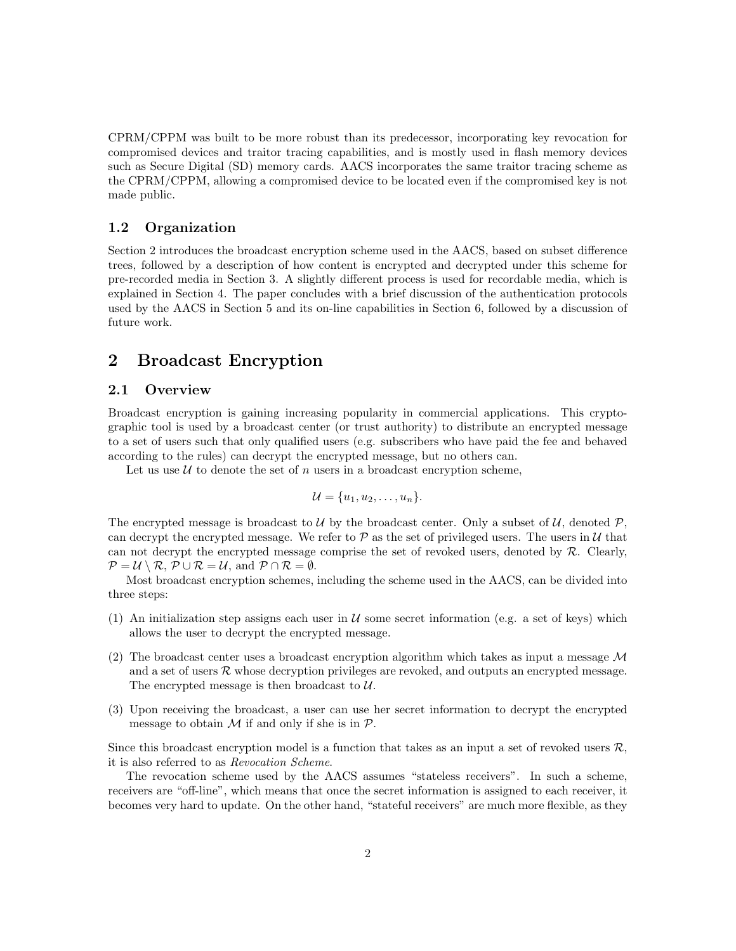CPRM/CPPM was built to be more robust than its predecessor, incorporating key revocation for compromised devices and traitor tracing capabilities, and is mostly used in flash memory devices such as Secure Digital (SD) memory cards. AACS incorporates the same traitor tracing scheme as the CPRM/CPPM, allowing a compromised device to be located even if the compromised key is not made public.

### 1.2 Organization

Section 2 introduces the broadcast encryption scheme used in the AACS, based on subset difference trees, followed by a description of how content is encrypted and decrypted under this scheme for pre-recorded media in Section 3. A slightly different process is used for recordable media, which is explained in Section 4. The paper concludes with a brief discussion of the authentication protocols used by the AACS in Section 5 and its on-line capabilities in Section 6, followed by a discussion of future work.

## 2 Broadcast Encryption

### 2.1 Overview

Broadcast encryption is gaining increasing popularity in commercial applications. This cryptographic tool is used by a broadcast center (or trust authority) to distribute an encrypted message to a set of users such that only qualified users (e.g. subscribers who have paid the fee and behaved according to the rules) can decrypt the encrypted message, but no others can.

Let us use  $U$  to denote the set of n users in a broadcast encryption scheme,

$$
\mathcal{U} = \{u_1, u_2, \ldots, u_n\}.
$$

The encrypted message is broadcast to U by the broadcast center. Only a subset of U, denoted  $\mathcal{P}$ , can decrypt the encrypted message. We refer to  $P$  as the set of privileged users. The users in  $U$  that can not decrypt the encrypted message comprise the set of revoked users, denoted by  $\mathcal{R}$ . Clearly,  $\mathcal{P} = \mathcal{U} \setminus \mathcal{R}, \, \mathcal{P} \cup \mathcal{R} = \mathcal{U}, \text{ and } \mathcal{P} \cap \mathcal{R} = \emptyset.$ 

Most broadcast encryption schemes, including the scheme used in the AACS, can be divided into three steps:

- (1) An initialization step assigns each user in  $U$  some secret information (e.g. a set of keys) which allows the user to decrypt the encrypted message.
- (2) The broadcast center uses a broadcast encryption algorithm which takes as input a message  $\mathcal M$ and a set of users  $\mathcal R$  whose decryption privileges are revoked, and outputs an encrypted message. The encrypted message is then broadcast to  $U$ .
- (3) Upon receiving the broadcast, a user can use her secret information to decrypt the encrypted message to obtain  $\mathcal M$  if and only if she is in  $\mathcal P$ .

Since this broadcast encryption model is a function that takes as an input a set of revoked users  $\mathcal{R}$ , it is also referred to as Revocation Scheme.

The revocation scheme used by the AACS assumes "stateless receivers". In such a scheme, receivers are "off-line", which means that once the secret information is assigned to each receiver, it becomes very hard to update. On the other hand, "stateful receivers" are much more flexible, as they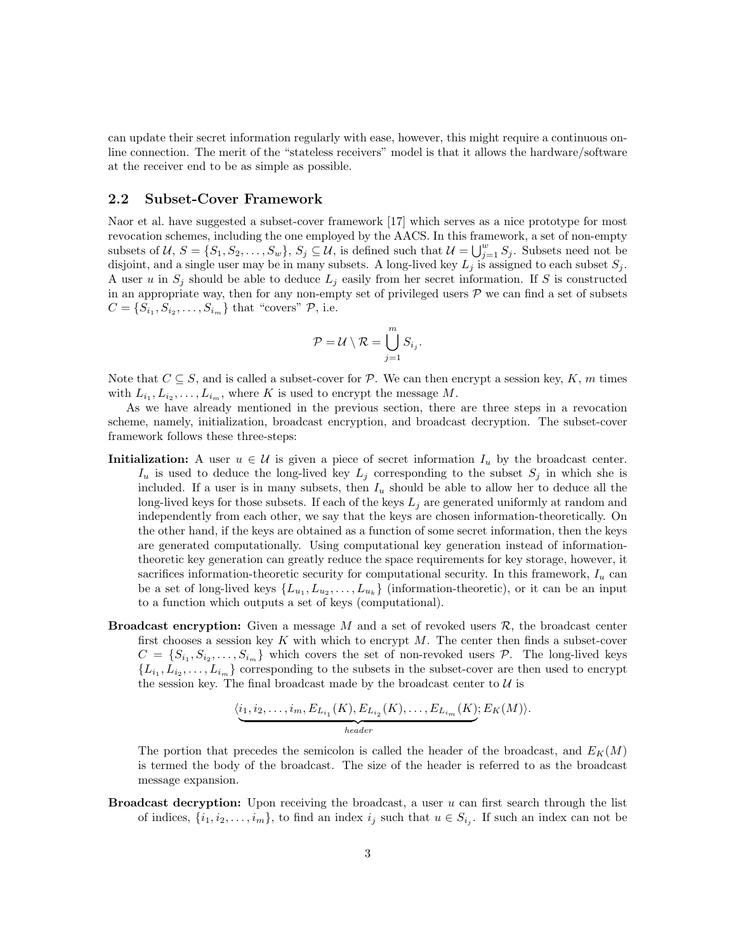can update their secret information regularly with ease, however, this might require a continuous online connection. The merit of the "stateless receivers" model is that it allows the hardware/software at the receiver end to be as simple as possible.

### 2.2 Subset-Cover Framework

Naor et al. have suggested a subset-cover framework [17] which serves as a nice prototype for most revocation schemes, including the one employed by the AACS. In this framework, a set of non-empty subsets of  $\mathcal{U}, S = \{S_1, S_2, \ldots, S_w\}, S_j \subseteq \mathcal{U},$  is defined such that  $\mathcal{U} = \bigcup_{j=1}^w S_j$ . Subsets need not be disjoint, and a single user may be in many subsets. A long-lived key  $L_i$  is assigned to each subset  $S_i$ . A user u in  $S_i$  should be able to deduce  $L_i$  easily from her secret information. If S is constructed in an appropriate way, then for any non-empty set of privileged users  $P$  we can find a set of subsets  $C = \{S_{i_1}, S_{i_2}, \ldots, S_{i_m}\}\$  that "covers"  $P$ , i.e.

$$
\mathcal{P} = \mathcal{U} \setminus \mathcal{R} = \bigcup_{j=1}^m S_{i_j}.
$$

Note that  $C \subseteq S$ , and is called a subset-cover for P. We can then encrypt a session key, K, m times with  $L_{i_1}, L_{i_2}, \ldots, L_{i_m}$ , where K is used to encrypt the message M.

As we have already mentioned in the previous section, there are three steps in a revocation scheme, namely, initialization, broadcast encryption, and broadcast decryption. The subset-cover framework follows these three-steps:

- **Initialization:** A user  $u \in \mathcal{U}$  is given a piece of secret information  $I_u$  by the broadcast center.  $I_u$  is used to deduce the long-lived key  $L_j$  corresponding to the subset  $S_j$  in which she is included. If a user is in many subsets, then  $I_u$  should be able to allow her to deduce all the long-lived keys for those subsets. If each of the keys  $L_i$  are generated uniformly at random and independently from each other, we say that the keys are chosen information-theoretically. On the other hand, if the keys are obtained as a function of some secret information, then the keys are generated computationally. Using computational key generation instead of informationtheoretic key generation can greatly reduce the space requirements for key storage, however, it sacrifices information-theoretic security for computational security. In this framework,  $I_u$  can be a set of long-lived keys  $\{L_{u_1}, L_{u_2}, \ldots, L_{u_k}\}$  (information-theoretic), or it can be an input to a function which outputs a set of keys (computational).
- **Broadcast encryption:** Given a message  $M$  and a set of revoked users  $\mathcal{R}$ , the broadcast center first chooses a session key  $K$  with which to encrypt  $M$ . The center then finds a subset-cover  $C = \{S_{i_1}, S_{i_2}, \ldots, S_{i_m}\}\$  which covers the set of non-revoked users  $P$ . The long-lived keys  $\{L_{i_1}, L_{i_2}, \ldots, L_{i_m}\}\$ corresponding to the subsets in the subset-cover are then used to encrypt the session key. The final broadcast made by the broadcast center to  $U$  is

$$
\underbrace{\langle i_1, i_2, \dots, i_m, E_{L_{i_1}}(K), E_{L_{i_2}}(K), \dots, E_{L_{i_m}}(K); E_K(M) \rangle}_{header}.
$$

The portion that precedes the semicolon is called the header of the broadcast, and  $E_K(M)$ is termed the body of the broadcast. The size of the header is referred to as the broadcast message expansion.

**Broadcast decryption:** Upon receiving the broadcast, a user  $u$  can first search through the list of indices,  $\{i_1, i_2, \ldots, i_m\}$ , to find an index  $i_j$  such that  $u \in S_{i_j}$ . If such an index can not be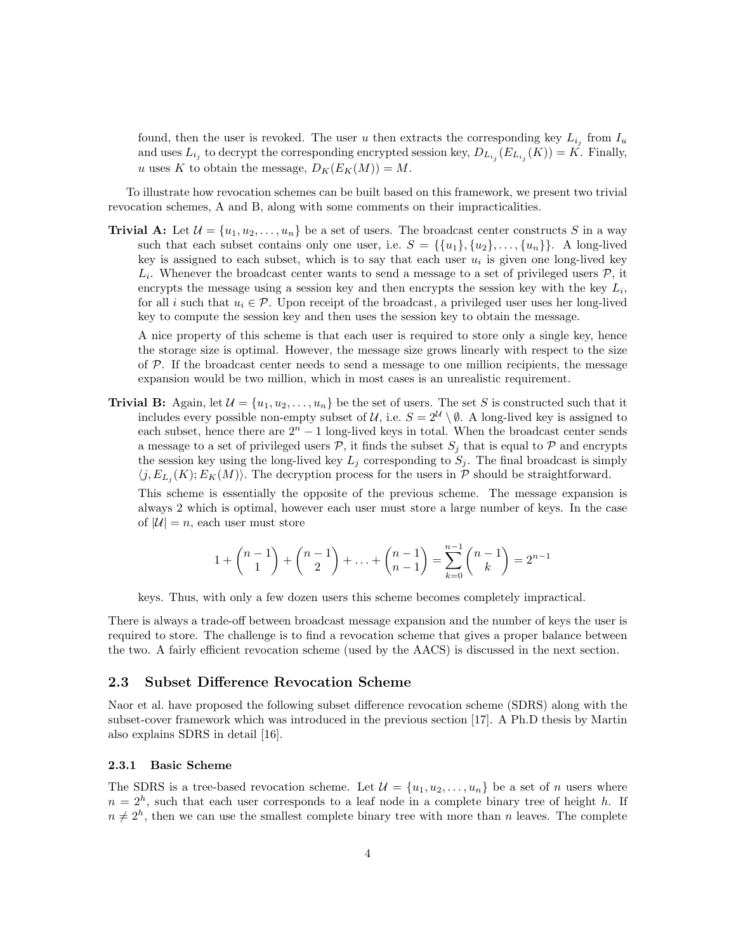found, then the user is revoked. The user u then extracts the corresponding key  $L_{i_j}$  from  $I_u$ and uses  $L_{i_j}$  to decrypt the corresponding encrypted session key,  $D_{L_{i_j}}(E_{L_{i_j}}(K)) = K$ . Finally, u uses K to obtain the message,  $D_K(E_K(M)) = M$ .

To illustrate how revocation schemes can be built based on this framework, we present two trivial revocation schemes, A and B, along with some comments on their impracticalities.

**Trivial A:** Let  $\mathcal{U} = \{u_1, u_2, \ldots, u_n\}$  be a set of users. The broadcast center constructs S in a way such that each subset contains only one user, i.e.  $S = \{\{u_1\}, \{u_2\}, \ldots, \{u_n\}\}\.$  A long-lived key is assigned to each subset, which is to say that each user  $u_i$  is given one long-lived key  $L_i$ . Whenever the broadcast center wants to send a message to a set of privileged users  $P$ , it encrypts the message using a session key and then encrypts the session key with the key  $L_i$ , for all i such that  $u_i \in \mathcal{P}$ . Upon receipt of the broadcast, a privileged user uses her long-lived key to compute the session key and then uses the session key to obtain the message.

A nice property of this scheme is that each user is required to store only a single key, hence the storage size is optimal. However, the message size grows linearly with respect to the size of  $P$ . If the broadcast center needs to send a message to one million recipients, the message expansion would be two million, which in most cases is an unrealistic requirement.

**Trivial B:** Again, let  $\mathcal{U} = \{u_1, u_2, \dots, u_n\}$  be the set of users. The set S is constructed such that it includes every possible non-empty subset of U, i.e.  $S = 2^{\mathcal{U}} \setminus \emptyset$ . A long-lived key is assigned to each subset, hence there are  $2<sup>n</sup> - 1$  long-lived keys in total. When the broadcast center sends a message to a set of privileged users  $P$ , it finds the subset  $S_i$  that is equal to P and encrypts the session key using the long-lived key  $L_j$  corresponding to  $S_j$ . The final broadcast is simply  $\langle j, E_{L_j}(K); E_K(M) \rangle$ . The decryption process for the users in P should be straightforward.

This scheme is essentially the opposite of the previous scheme. The message expansion is always 2 which is optimal, however each user must store a large number of keys. In the case of  $|\mathcal{U}| = n$ , each user must store

$$
1 + \binom{n-1}{1} + \binom{n-1}{2} + \ldots + \binom{n-1}{n-1} = \sum_{k=0}^{n-1} \binom{n-1}{k} = 2^{n-1}
$$

keys. Thus, with only a few dozen users this scheme becomes completely impractical.

There is always a trade-off between broadcast message expansion and the number of keys the user is required to store. The challenge is to find a revocation scheme that gives a proper balance between the two. A fairly efficient revocation scheme (used by the AACS) is discussed in the next section.

### 2.3 Subset Difference Revocation Scheme

Naor et al. have proposed the following subset difference revocation scheme (SDRS) along with the subset-cover framework which was introduced in the previous section [17]. A Ph.D thesis by Martin also explains SDRS in detail [16].

#### 2.3.1 Basic Scheme

The SDRS is a tree-based revocation scheme. Let  $\mathcal{U} = \{u_1, u_2, \ldots, u_n\}$  be a set of n users where  $n = 2<sup>h</sup>$ , such that each user corresponds to a leaf node in a complete binary tree of height h. If  $n \neq 2<sup>h</sup>$ , then we can use the smallest complete binary tree with more than n leaves. The complete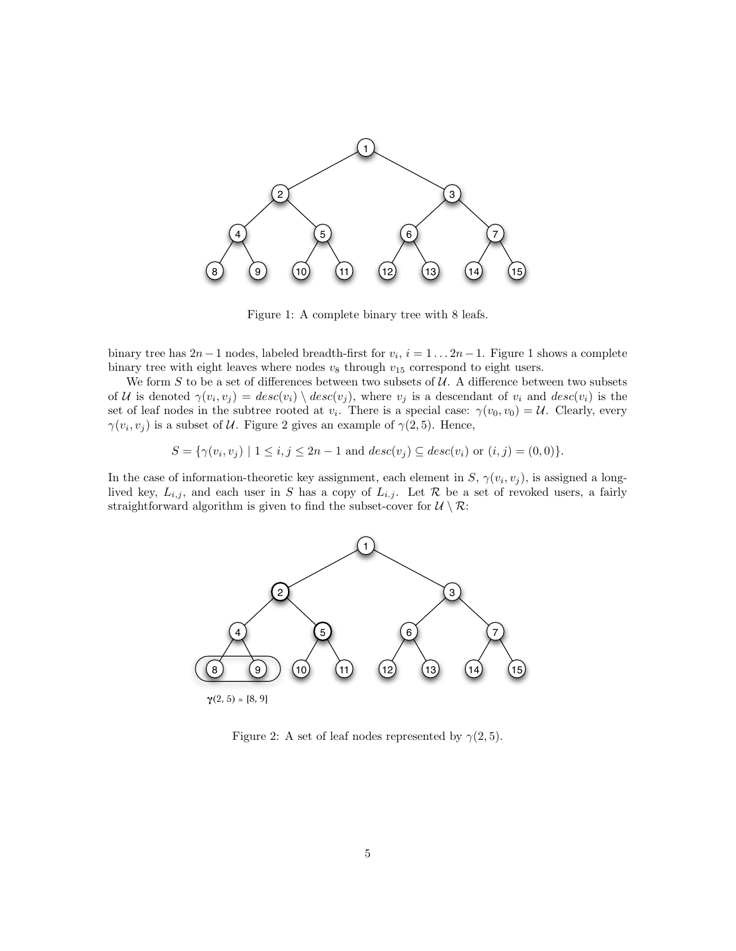

Figure 1: A complete binary tree with 8 leafs.

binary tree has  $2n-1$  nodes, labeled breadth-first for  $v_i$ ,  $i = 1 \dots 2n-1$ . Figure 1 shows a complete binary tree with eight leaves where nodes  $v_8$  through  $v_{15}$  correspond to eight users.

We form  $S$  to be a set of differences between two subsets of  $U$ . A difference between two subsets of U is denoted  $\gamma(v_i, v_j) = desc(v_i) \setminus desc(v_j)$ , where  $v_j$  is a descendant of  $v_i$  and  $desc(v_i)$  is the set of leaf nodes in the subtree rooted at  $v_i$ . There is a special case:  $\gamma(v_0, v_0) = \mathcal{U}$ . Clearly, every  $\gamma(v_i, v_j)$  is a subset of U. Figure 2 gives an example of  $\gamma(2, 5)$ . Hence,

$$
S = \{ \gamma(v_i, v_j) \mid 1 \le i, j \le 2n - 1 \text{ and } desc(v_j) \subseteq desc(v_i) \text{ or } (i, j) = (0, 0) \}.
$$

In the case of information-theoretic key assignment, each element in  $S$ ,  $\gamma(v_i, v_j)$ , is assigned a longlived key,  $L_{i,j}$ , and each user in S has a copy of  $L_{i,j}$ . Let R be a set of revoked users, a fairly straightforward algorithm is given to find the subset-cover for  $\mathcal{U} \setminus \mathcal{R}$ :



Figure 2: A set of leaf nodes represented by  $\gamma(2, 5)$ .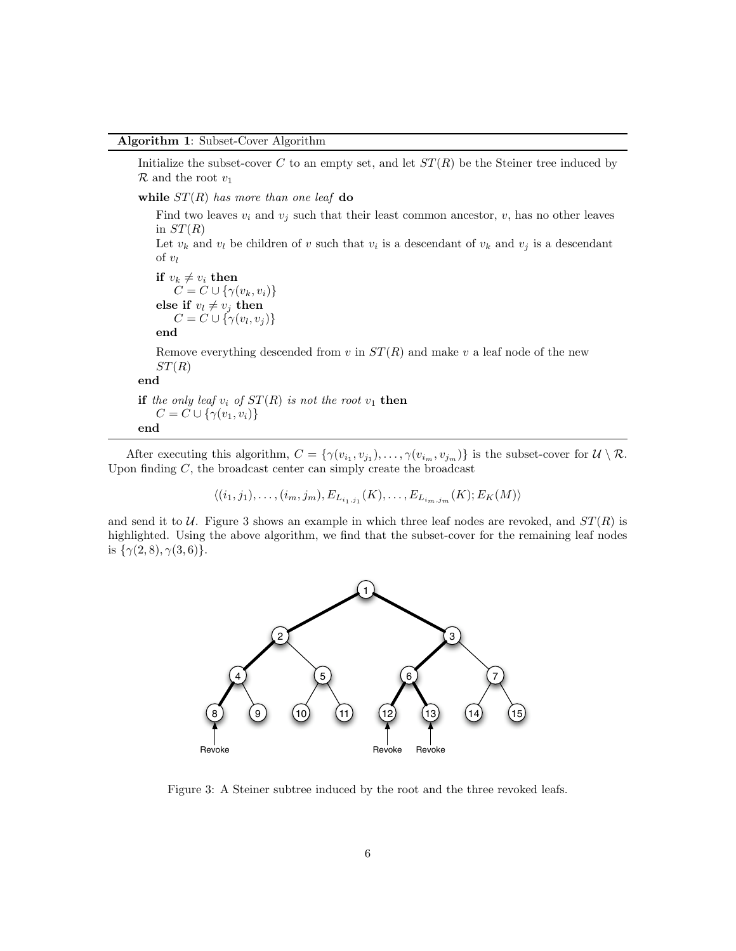#### Algorithm 1: Subset-Cover Algorithm

Initialize the subset-cover C to an empty set, and let  $ST(R)$  be the Steiner tree induced by  $\mathcal R$  and the root  $v_1$ 

while  $ST(R)$  has more than one leaf do

Find two leaves  $v_i$  and  $v_j$  such that their least common ancestor,  $v$ , has no other leaves in  $ST(R)$ 

Let  $v_k$  and  $v_l$  be children of v such that  $v_i$  is a descendant of  $v_k$  and  $v_j$  is a descendant of  $v_l$ 

```
if v_k \neq v_i then
C = C \cup \{ \gamma(v_k, v_i) \}else if v_l \neq v_j then
C = C \cup \{ \gamma(v_l, v_j) \}
```
end

Remove everything descended from v in  $ST(R)$  and make v a leaf node of the new  $ST(R)$ 

end

if the only leaf  $v_i$  of  $ST(R)$  is not the root  $v_1$  then  $C = C \cup \{\gamma(v_1, v_i)\}\$ end

After executing this algorithm,  $C = \{ \gamma(v_{i_1}, v_{j_1}), \ldots, \gamma(v_{i_m}, v_{j_m}) \}$  is the subset-cover for  $\mathcal{U} \setminus \mathcal{R}$ . Upon finding  $C$ , the broadcast center can simply create the broadcast

 $\langle (i_1, j_1), \ldots, (i_m, j_m), E_{L_{i_1, j_1}}(K), \ldots, E_{L_{i_m, j_m}}(K); E_K(M) \rangle$ 

and send it to  $U$ . Figure 3 shows an example in which three leaf nodes are revoked, and  $ST(R)$  is highlighted. Using the above algorithm, we find that the subset-cover for the remaining leaf nodes is  $\{\gamma(2,8), \gamma(3,6)\}.$ 



Figure 3: A Steiner subtree induced by the root and the three revoked leafs.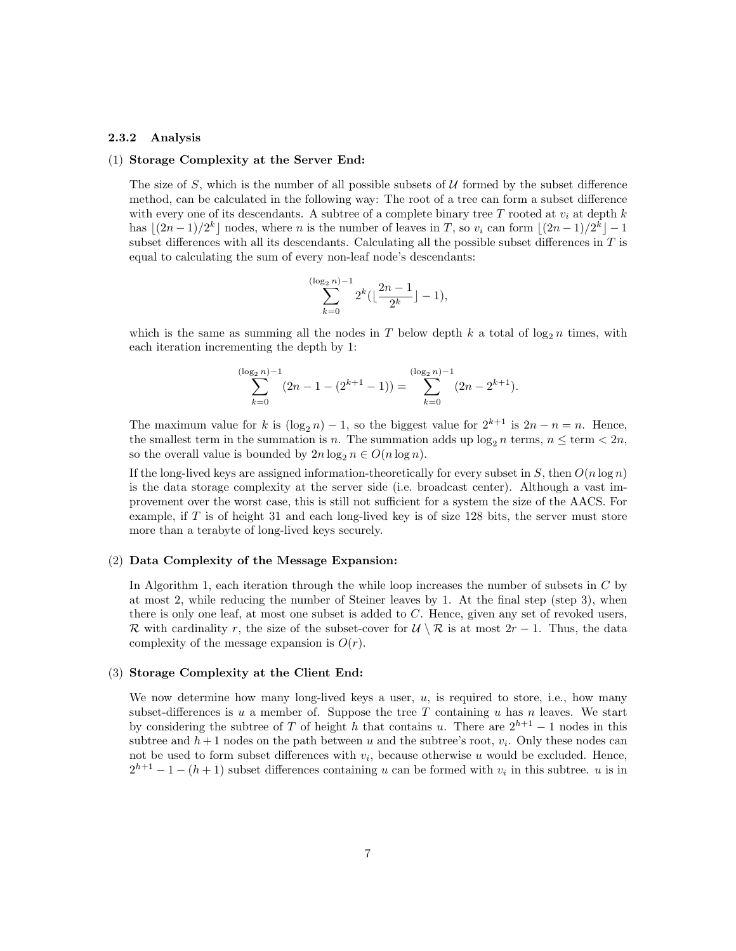#### 2.3.2 Analysis

#### (1) Storage Complexity at the Server End:

The size of S, which is the number of all possible subsets of  $U$  formed by the subset difference method, can be calculated in the following way: The root of a tree can form a subset difference with every one of its descendants. A subtree of a complete binary tree T rooted at  $v_i$  at depth k has  $\lfloor (2n-1)/2^k \rfloor$  nodes, where n is the number of leaves in T, so  $v_i$  can form  $\lfloor (2n-1)/2^k \rfloor - 1$ subset differences with all its descendants. Calculating all the possible subset differences in  $T$  is equal to calculating the sum of every non-leaf node's descendants:

$$
\sum_{k=0}^{(\log_2 n)-1} 2^k \left( \left\lfloor \frac{2n-1}{2^k} \right\rfloor - 1 \right),
$$

which is the same as summing all the nodes in T below depth k a total of  $\log_2 n$  times, with each iteration incrementing the depth by 1:

$$
\sum_{k=0}^{(\log_2 n)-1} (2n - 1 - (2^{k+1} - 1)) = \sum_{k=0}^{(\log_2 n)-1} (2n - 2^{k+1}).
$$

The maximum value for k is  $(\log_2 n) - 1$ , so the biggest value for  $2^{k+1}$  is  $2n - n = n$ . Hence, the smallest term in the summation is n. The summation adds up  $log_2 n$  terms,  $n \leq$  term  $< 2n$ , so the overall value is bounded by  $2n \log_2 n \in O(n \log n)$ .

If the long-lived keys are assigned information-theoretically for every subset in  $S$ , then  $O(n \log n)$ is the data storage complexity at the server side (i.e. broadcast center). Although a vast improvement over the worst case, this is still not sufficient for a system the size of the AACS. For example, if  $T$  is of height 31 and each long-lived key is of size 128 bits, the server must store more than a terabyte of long-lived keys securely.

#### (2) Data Complexity of the Message Expansion:

In Algorithm 1, each iteration through the while loop increases the number of subsets in C by at most 2, while reducing the number of Steiner leaves by 1. At the final step (step 3), when there is only one leaf, at most one subset is added to C. Hence, given any set of revoked users, R with cardinality r, the size of the subset-cover for  $\mathcal{U} \setminus \mathcal{R}$  is at most  $2r - 1$ . Thus, the data complexity of the message expansion is  $O(r)$ .

#### (3) Storage Complexity at the Client End:

We now determine how many long-lived keys a user,  $u$ , is required to store, i.e., how many subset-differences is u a member of. Suppose the tree T containing u has n leaves. We start by considering the subtree of T of height h that contains u. There are  $2^{h+1} - 1$  nodes in this subtree and  $h+1$  nodes on the path between u and the subtree's root,  $v_i$ . Only these nodes can not be used to form subset differences with  $v_i$ , because otherwise u would be excluded. Hence,  $2^{h+1} - 1 - (h+1)$  subset differences containing u can be formed with  $v_i$  in this subtree. u is in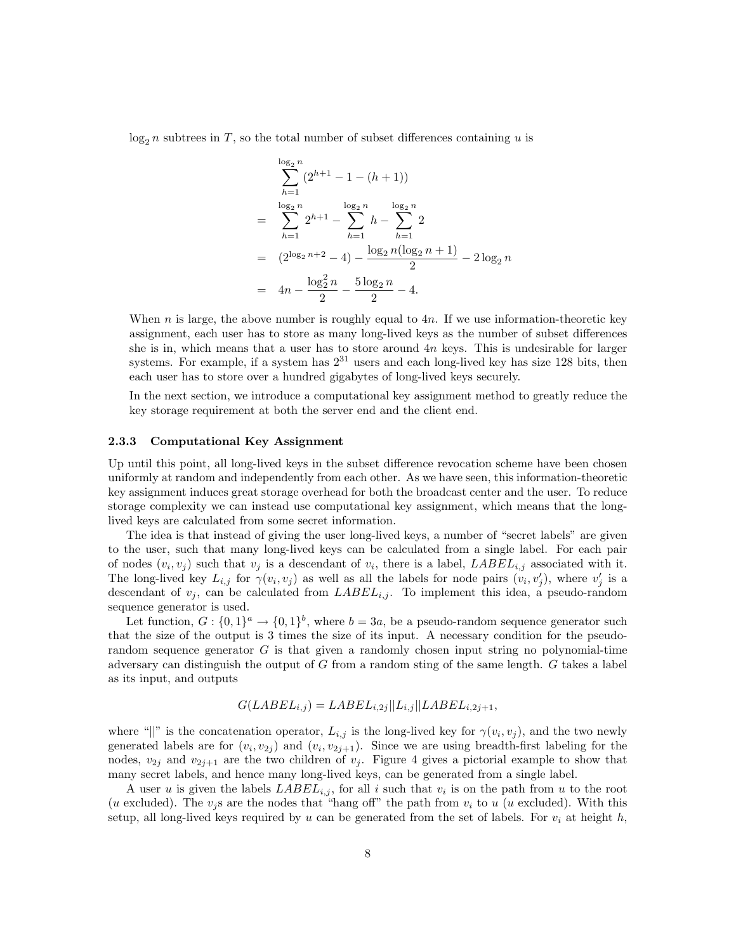$\log_2 n$  subtrees in T, so the total number of subset differences containing u is

$$
\sum_{h=1}^{\log_2 n} (2^{h+1} - 1 - (h+1))
$$
  
= 
$$
\sum_{h=1}^{\log_2 n} 2^{h+1} - \sum_{h=1}^{\log_2 n} h - \sum_{h=1}^{\log_2 n} 2
$$
  
= 
$$
(2^{\log_2 n+2} - 4) - \frac{\log_2 n(\log_2 n + 1)}{2} - 2\log_2 n
$$
  
= 
$$
4n - \frac{\log_2^2 n}{2} - \frac{5\log_2 n}{2} - 4.
$$

When n is large, the above number is roughly equal to  $4n$ . If we use information-theoretic key assignment, each user has to store as many long-lived keys as the number of subset differences she is in, which means that a user has to store around  $4n$  keys. This is undesirable for larger systems. For example, if a system has  $2^{31}$  users and each long-lived key has size 128 bits, then each user has to store over a hundred gigabytes of long-lived keys securely.

In the next section, we introduce a computational key assignment method to greatly reduce the key storage requirement at both the server end and the client end.

#### 2.3.3 Computational Key Assignment

Up until this point, all long-lived keys in the subset difference revocation scheme have been chosen uniformly at random and independently from each other. As we have seen, this information-theoretic key assignment induces great storage overhead for both the broadcast center and the user. To reduce storage complexity we can instead use computational key assignment, which means that the longlived keys are calculated from some secret information.

The idea is that instead of giving the user long-lived keys, a number of "secret labels" are given to the user, such that many long-lived keys can be calculated from a single label. For each pair of nodes  $(v_i, v_j)$  such that  $v_j$  is a descendant of  $v_i$ , there is a label,  $\text{LABEL}_{i,j}$  associated with it. The long-lived key  $L_{i,j}$  for  $\gamma(v_i, v_j)$  as well as all the labels for node pairs  $(v_i, v'_j)$ , where  $v'_j$  is a descendant of  $v_j$ , can be calculated from  $LABEL_{i,j}$ . To implement this idea, a pseudo-random sequence generator is used.

Let function,  $G: \{0,1\}^a \to \{0,1\}^b$ , where  $b=3a$ , be a pseudo-random sequence generator such that the size of the output is 3 times the size of its input. A necessary condition for the pseudorandom sequence generator  $G$  is that given a randomly chosen input string no polynomial-time adversary can distinguish the output of G from a random sting of the same length. G takes a label as its input, and outputs

$$
G(LABEL_{i,j}) = LABEL_{i,2j} || L_{i,j} || LABEL_{i,2j+1},
$$

where "||" is the concatenation operator,  $L_{i,j}$  is the long-lived key for  $\gamma(v_i, v_j)$ , and the two newly generated labels are for  $(v_i, v_{2j})$  and  $(v_i, v_{2j+1})$ . Since we are using breadth-first labeling for the nodes,  $v_{2j}$  and  $v_{2j+1}$  are the two children of  $v_j$ . Figure 4 gives a pictorial example to show that many secret labels, and hence many long-lived keys, can be generated from a single label.

A user u is given the labels  $\text{LABEL}_{i,j}$ , for all i such that  $v_i$  is on the path from u to the root (u excluded). The  $v_i$  s are the nodes that "hang off" the path from  $v_i$  to u (u excluded). With this setup, all long-lived keys required by u can be generated from the set of labels. For  $v_i$  at height h,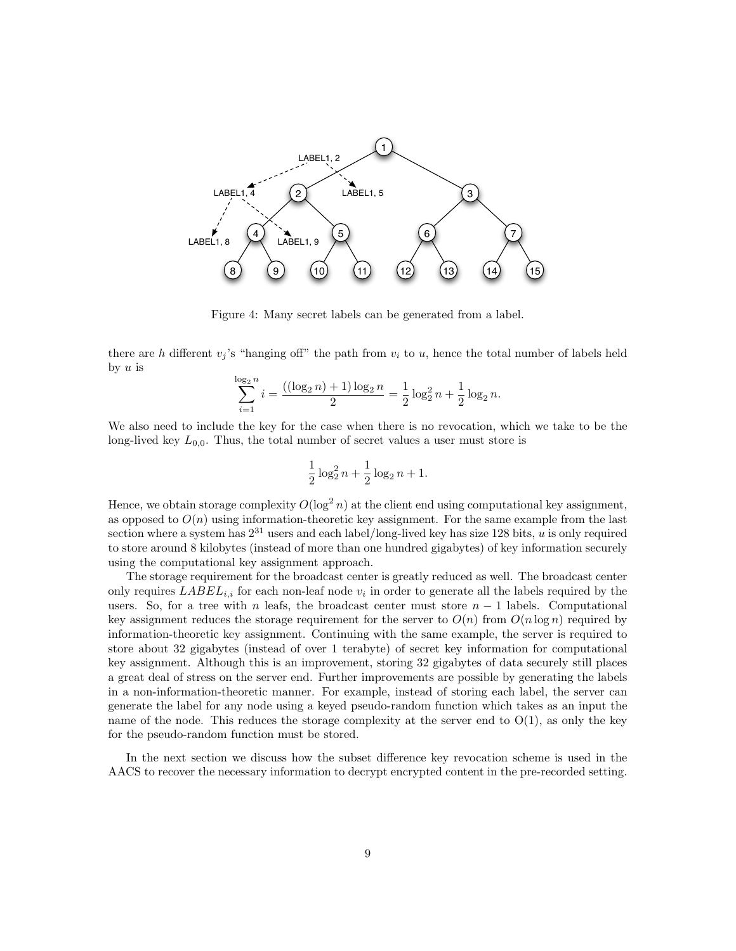

Figure 4: Many secret labels can be generated from a label.

there are h different  $v_i$ 's "hanging off" the path from  $v_i$  to u, hence the total number of labels held by  $u$  is

$$
\sum_{i=1}^{\log_2 n} i = \frac{((\log_2 n) + 1)\log_2 n}{2} = \frac{1}{2}\log_2^2 n + \frac{1}{2}\log_2 n.
$$

We also need to include the key for the case when there is no revocation, which we take to be the long-lived key  $L_{0,0}$ . Thus, the total number of secret values a user must store is

$$
\frac{1}{2}\log_2^2 n + \frac{1}{2}\log_2 n + 1.
$$

Hence, we obtain storage complexity  $O(\log^2 n)$  at the client end using computational key assignment, as opposed to  $O(n)$  using information-theoretic key assignment. For the same example from the last section where a system has  $2^{31}$  users and each label/long-lived key has size 128 bits, u is only required to store around 8 kilobytes (instead of more than one hundred gigabytes) of key information securely using the computational key assignment approach.

The storage requirement for the broadcast center is greatly reduced as well. The broadcast center only requires  $\text{LABEL}_{i,i}$  for each non-leaf node  $v_i$  in order to generate all the labels required by the users. So, for a tree with n leafs, the broadcast center must store  $n-1$  labels. Computational key assignment reduces the storage requirement for the server to  $O(n)$  from  $O(n \log n)$  required by information-theoretic key assignment. Continuing with the same example, the server is required to store about 32 gigabytes (instead of over 1 terabyte) of secret key information for computational key assignment. Although this is an improvement, storing 32 gigabytes of data securely still places a great deal of stress on the server end. Further improvements are possible by generating the labels in a non-information-theoretic manner. For example, instead of storing each label, the server can generate the label for any node using a keyed pseudo-random function which takes as an input the name of the node. This reduces the storage complexity at the server end to  $O(1)$ , as only the key for the pseudo-random function must be stored.

In the next section we discuss how the subset difference key revocation scheme is used in the AACS to recover the necessary information to decrypt encrypted content in the pre-recorded setting.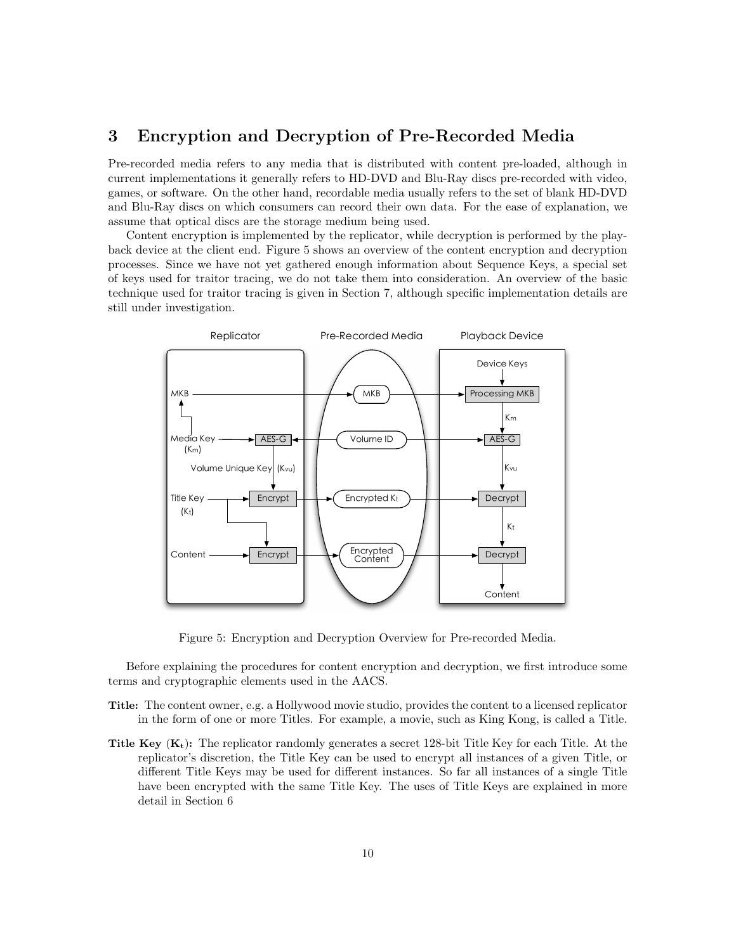## 3 Encryption and Decryption of Pre-Recorded Media

Pre-recorded media refers to any media that is distributed with content pre-loaded, although in current implementations it generally refers to HD-DVD and Blu-Ray discs pre-recorded with video, games, or software. On the other hand, recordable media usually refers to the set of blank HD-DVD and Blu-Ray discs on which consumers can record their own data. For the ease of explanation, we assume that optical discs are the storage medium being used.

Content encryption is implemented by the replicator, while decryption is performed by the playback device at the client end. Figure 5 shows an overview of the content encryption and decryption processes. Since we have not yet gathered enough information about Sequence Keys, a special set of keys used for traitor tracing, we do not take them into consideration. An overview of the basic technique used for traitor tracing is given in Section 7, although specific implementation details are still under investigation.



Figure 5: Encryption and Decryption Overview for Pre-recorded Media.

Before explaining the procedures for content encryption and decryption, we first introduce some terms and cryptographic elements used in the AACS.

- Title: The content owner, e.g. a Hollywood movie studio, provides the content to a licensed replicator in the form of one or more Titles. For example, a movie, such as King Kong, is called a Title.
- **Title Key**  $(K_t)$ : The replicator randomly generates a secret 128-bit Title Key for each Title. At the replicator's discretion, the Title Key can be used to encrypt all instances of a given Title, or different Title Keys may be used for different instances. So far all instances of a single Title have been encrypted with the same Title Key. The uses of Title Keys are explained in more detail in Section 6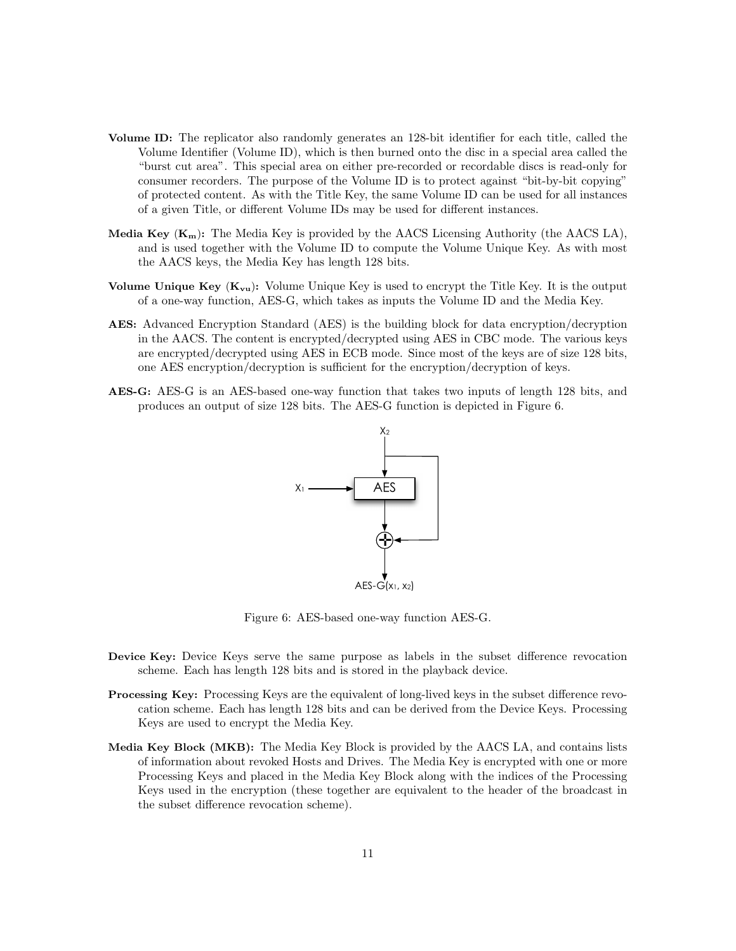- Volume ID: The replicator also randomly generates an 128-bit identifier for each title, called the Volume Identifier (Volume ID), which is then burned onto the disc in a special area called the "burst cut area". This special area on either pre-recorded or recordable discs is read-only for consumer recorders. The purpose of the Volume ID is to protect against "bit-by-bit copying" of protected content. As with the Title Key, the same Volume ID can be used for all instances of a given Title, or different Volume IDs may be used for different instances.
- Media Key  $(K_m)$ : The Media Key is provided by the AACS Licensing Authority (the AACS LA), and is used together with the Volume ID to compute the Volume Unique Key. As with most the AACS keys, the Media Key has length 128 bits.
- Volume Unique Key  $(K_{vu})$ : Volume Unique Key is used to encrypt the Title Key. It is the output of a one-way function, AES-G, which takes as inputs the Volume ID and the Media Key.
- AES: Advanced Encryption Standard (AES) is the building block for data encryption/decryption in the AACS. The content is encrypted/decrypted using AES in CBC mode. The various keys are encrypted/decrypted using AES in ECB mode. Since most of the keys are of size 128 bits, one AES encryption/decryption is sufficient for the encryption/decryption of keys.
- AES-G: AES-G is an AES-based one-way function that takes two inputs of length 128 bits, and produces an output of size 128 bits. The AES-G function is depicted in Figure 6.



Figure 6: AES-based one-way function AES-G.

- Device Key: Device Keys serve the same purpose as labels in the subset difference revocation scheme. Each has length 128 bits and is stored in the playback device.
- Processing Key: Processing Keys are the equivalent of long-lived keys in the subset difference revocation scheme. Each has length 128 bits and can be derived from the Device Keys. Processing Keys are used to encrypt the Media Key.
- Media Key Block (MKB): The Media Key Block is provided by the AACS LA, and contains lists of information about revoked Hosts and Drives. The Media Key is encrypted with one or more Processing Keys and placed in the Media Key Block along with the indices of the Processing Keys used in the encryption (these together are equivalent to the header of the broadcast in the subset difference revocation scheme).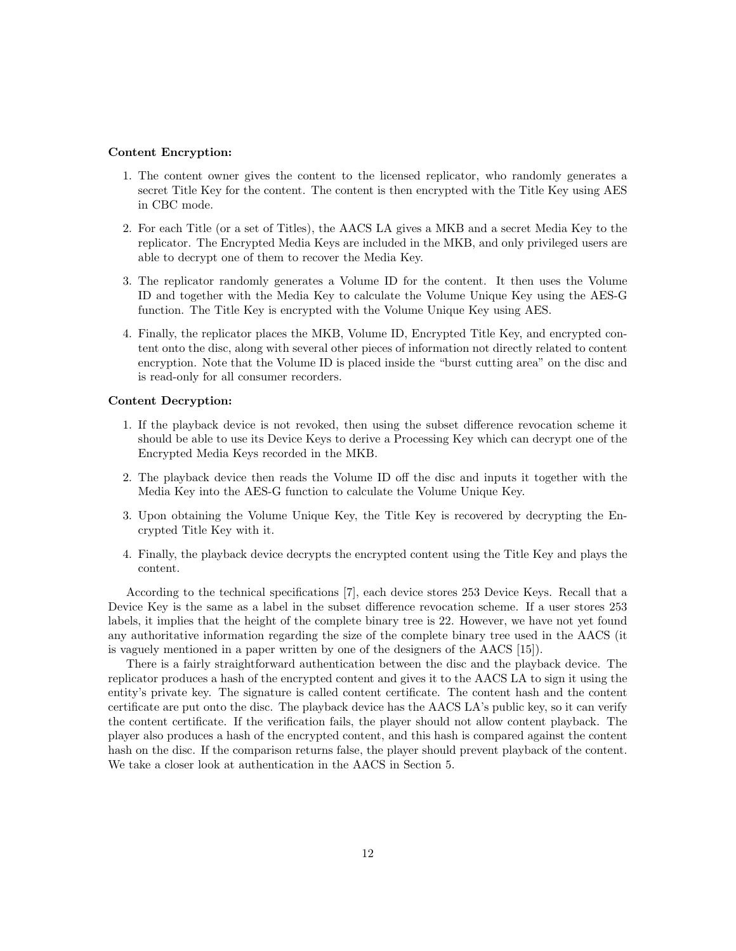#### Content Encryption:

- 1. The content owner gives the content to the licensed replicator, who randomly generates a secret Title Key for the content. The content is then encrypted with the Title Key using AES in CBC mode.
- 2. For each Title (or a set of Titles), the AACS LA gives a MKB and a secret Media Key to the replicator. The Encrypted Media Keys are included in the MKB, and only privileged users are able to decrypt one of them to recover the Media Key.
- 3. The replicator randomly generates a Volume ID for the content. It then uses the Volume ID and together with the Media Key to calculate the Volume Unique Key using the AES-G function. The Title Key is encrypted with the Volume Unique Key using AES.
- 4. Finally, the replicator places the MKB, Volume ID, Encrypted Title Key, and encrypted content onto the disc, along with several other pieces of information not directly related to content encryption. Note that the Volume ID is placed inside the "burst cutting area" on the disc and is read-only for all consumer recorders.

#### Content Decryption:

- 1. If the playback device is not revoked, then using the subset difference revocation scheme it should be able to use its Device Keys to derive a Processing Key which can decrypt one of the Encrypted Media Keys recorded in the MKB.
- 2. The playback device then reads the Volume ID off the disc and inputs it together with the Media Key into the AES-G function to calculate the Volume Unique Key.
- 3. Upon obtaining the Volume Unique Key, the Title Key is recovered by decrypting the Encrypted Title Key with it.
- 4. Finally, the playback device decrypts the encrypted content using the Title Key and plays the content.

According to the technical specifications [7], each device stores 253 Device Keys. Recall that a Device Key is the same as a label in the subset difference revocation scheme. If a user stores 253 labels, it implies that the height of the complete binary tree is 22. However, we have not yet found any authoritative information regarding the size of the complete binary tree used in the AACS (it is vaguely mentioned in a paper written by one of the designers of the AACS [15]).

There is a fairly straightforward authentication between the disc and the playback device. The replicator produces a hash of the encrypted content and gives it to the AACS LA to sign it using the entity's private key. The signature is called content certificate. The content hash and the content certificate are put onto the disc. The playback device has the AACS LA's public key, so it can verify the content certificate. If the verification fails, the player should not allow content playback. The player also produces a hash of the encrypted content, and this hash is compared against the content hash on the disc. If the comparison returns false, the player should prevent playback of the content. We take a closer look at authentication in the AACS in Section 5.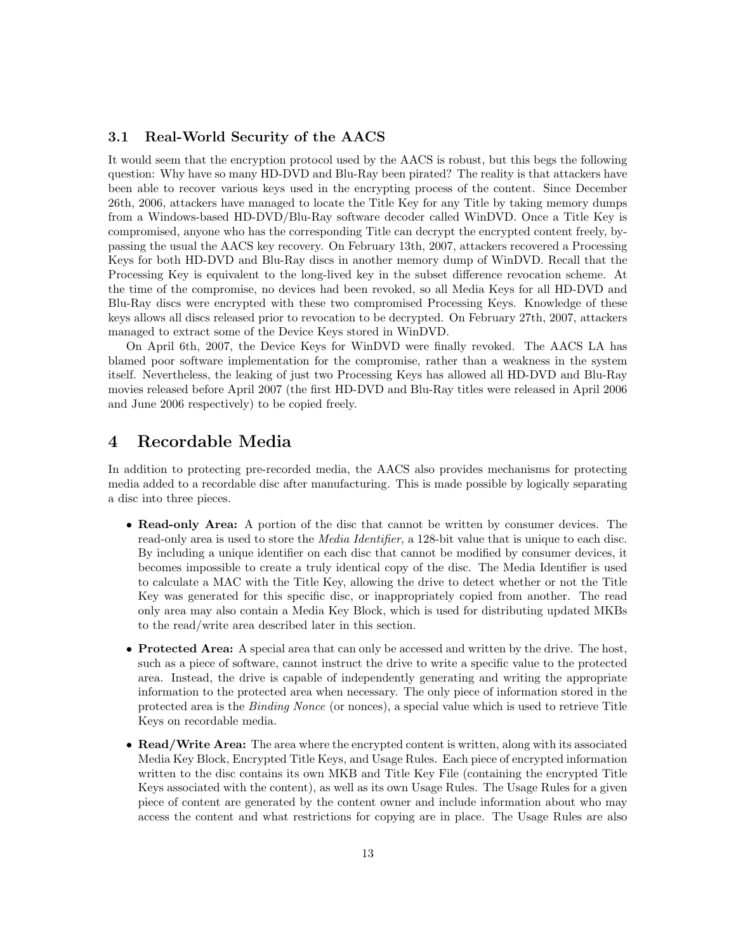### 3.1 Real-World Security of the AACS

It would seem that the encryption protocol used by the AACS is robust, but this begs the following question: Why have so many HD-DVD and Blu-Ray been pirated? The reality is that attackers have been able to recover various keys used in the encrypting process of the content. Since December 26th, 2006, attackers have managed to locate the Title Key for any Title by taking memory dumps from a Windows-based HD-DVD/Blu-Ray software decoder called WinDVD. Once a Title Key is compromised, anyone who has the corresponding Title can decrypt the encrypted content freely, bypassing the usual the AACS key recovery. On February 13th, 2007, attackers recovered a Processing Keys for both HD-DVD and Blu-Ray discs in another memory dump of WinDVD. Recall that the Processing Key is equivalent to the long-lived key in the subset difference revocation scheme. At the time of the compromise, no devices had been revoked, so all Media Keys for all HD-DVD and Blu-Ray discs were encrypted with these two compromised Processing Keys. Knowledge of these keys allows all discs released prior to revocation to be decrypted. On February 27th, 2007, attackers managed to extract some of the Device Keys stored in WinDVD.

On April 6th, 2007, the Device Keys for WinDVD were finally revoked. The AACS LA has blamed poor software implementation for the compromise, rather than a weakness in the system itself. Nevertheless, the leaking of just two Processing Keys has allowed all HD-DVD and Blu-Ray movies released before April 2007 (the first HD-DVD and Blu-Ray titles were released in April 2006 and June 2006 respectively) to be copied freely.

## 4 Recordable Media

In addition to protecting pre-recorded media, the AACS also provides mechanisms for protecting media added to a recordable disc after manufacturing. This is made possible by logically separating a disc into three pieces.

- Read-only Area: A portion of the disc that cannot be written by consumer devices. The read-only area is used to store the *Media Identifier*, a 128-bit value that is unique to each disc. By including a unique identifier on each disc that cannot be modified by consumer devices, it becomes impossible to create a truly identical copy of the disc. The Media Identifier is used to calculate a MAC with the Title Key, allowing the drive to detect whether or not the Title Key was generated for this specific disc, or inappropriately copied from another. The read only area may also contain a Media Key Block, which is used for distributing updated MKBs to the read/write area described later in this section.
- Protected Area: A special area that can only be accessed and written by the drive. The host, such as a piece of software, cannot instruct the drive to write a specific value to the protected area. Instead, the drive is capable of independently generating and writing the appropriate information to the protected area when necessary. The only piece of information stored in the protected area is the Binding Nonce (or nonces), a special value which is used to retrieve Title Keys on recordable media.
- Read/Write Area: The area where the encrypted content is written, along with its associated Media Key Block, Encrypted Title Keys, and Usage Rules. Each piece of encrypted information written to the disc contains its own MKB and Title Key File (containing the encrypted Title Keys associated with the content), as well as its own Usage Rules. The Usage Rules for a given piece of content are generated by the content owner and include information about who may access the content and what restrictions for copying are in place. The Usage Rules are also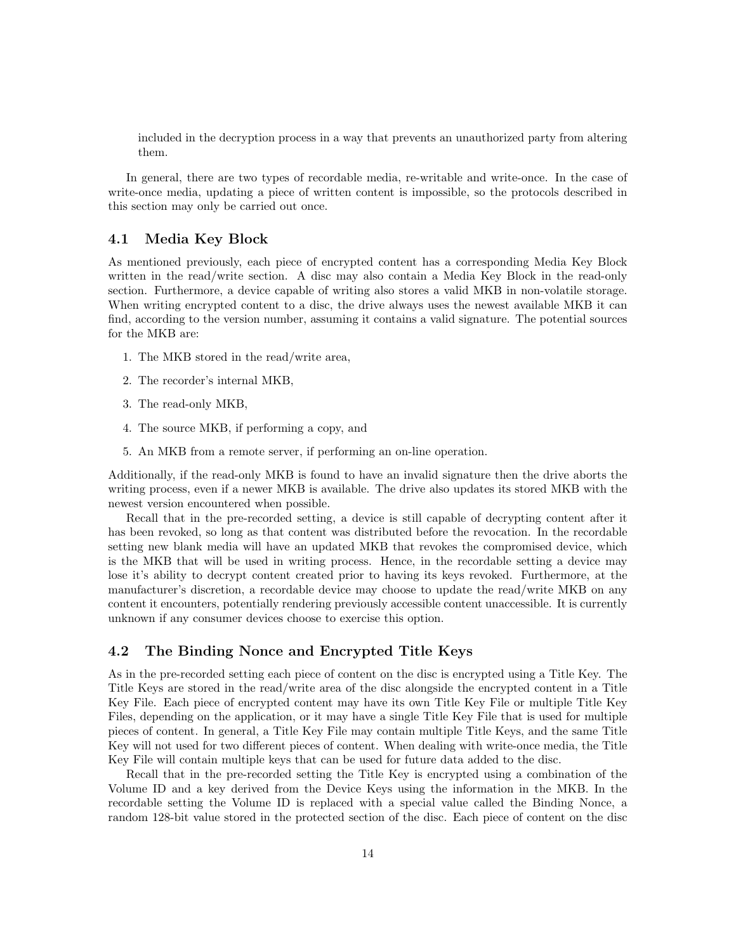included in the decryption process in a way that prevents an unauthorized party from altering them.

In general, there are two types of recordable media, re-writable and write-once. In the case of write-once media, updating a piece of written content is impossible, so the protocols described in this section may only be carried out once.

### 4.1 Media Key Block

As mentioned previously, each piece of encrypted content has a corresponding Media Key Block written in the read/write section. A disc may also contain a Media Key Block in the read-only section. Furthermore, a device capable of writing also stores a valid MKB in non-volatile storage. When writing encrypted content to a disc, the drive always uses the newest available MKB it can find, according to the version number, assuming it contains a valid signature. The potential sources for the MKB are:

- 1. The MKB stored in the read/write area,
- 2. The recorder's internal MKB,
- 3. The read-only MKB,
- 4. The source MKB, if performing a copy, and
- 5. An MKB from a remote server, if performing an on-line operation.

Additionally, if the read-only MKB is found to have an invalid signature then the drive aborts the writing process, even if a newer MKB is available. The drive also updates its stored MKB with the newest version encountered when possible.

Recall that in the pre-recorded setting, a device is still capable of decrypting content after it has been revoked, so long as that content was distributed before the revocation. In the recordable setting new blank media will have an updated MKB that revokes the compromised device, which is the MKB that will be used in writing process. Hence, in the recordable setting a device may lose it's ability to decrypt content created prior to having its keys revoked. Furthermore, at the manufacturer's discretion, a recordable device may choose to update the read/write MKB on any content it encounters, potentially rendering previously accessible content unaccessible. It is currently unknown if any consumer devices choose to exercise this option.

### 4.2 The Binding Nonce and Encrypted Title Keys

As in the pre-recorded setting each piece of content on the disc is encrypted using a Title Key. The Title Keys are stored in the read/write area of the disc alongside the encrypted content in a Title Key File. Each piece of encrypted content may have its own Title Key File or multiple Title Key Files, depending on the application, or it may have a single Title Key File that is used for multiple pieces of content. In general, a Title Key File may contain multiple Title Keys, and the same Title Key will not used for two different pieces of content. When dealing with write-once media, the Title Key File will contain multiple keys that can be used for future data added to the disc.

Recall that in the pre-recorded setting the Title Key is encrypted using a combination of the Volume ID and a key derived from the Device Keys using the information in the MKB. In the recordable setting the Volume ID is replaced with a special value called the Binding Nonce, a random 128-bit value stored in the protected section of the disc. Each piece of content on the disc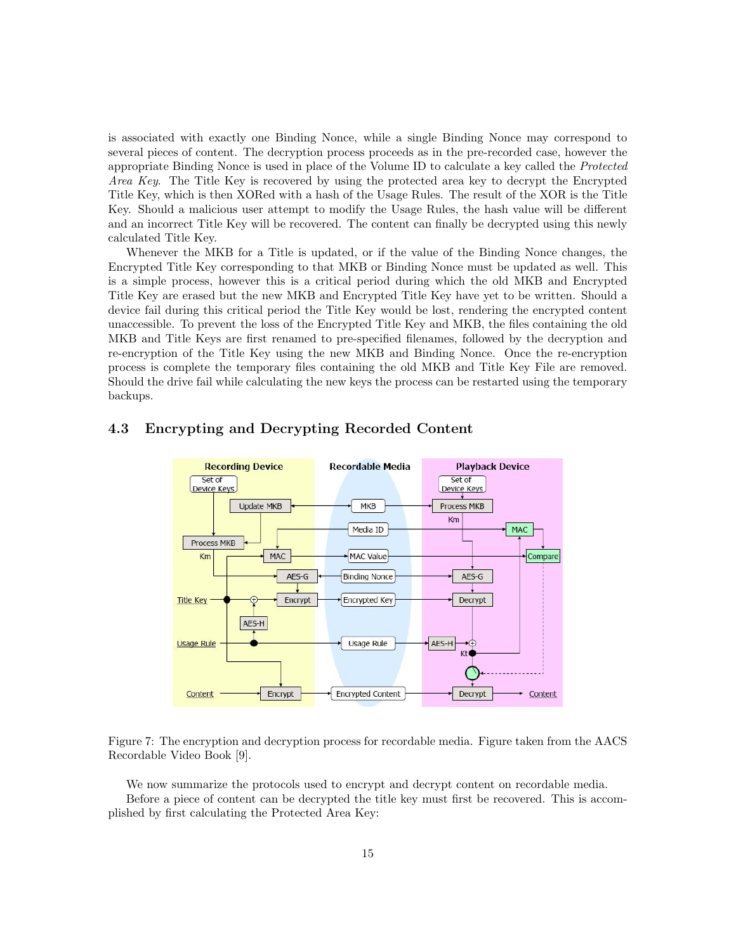is associated with exactly one Binding Nonce, while a single Binding Nonce may correspond to several pieces of content. The decryption process proceeds as in the pre-recorded case, however the appropriate Binding Nonce is used in place of the Volume ID to calculate a key called the Protected Area Key. The Title Key is recovered by using the protected area key to decrypt the Encrypted Title Key, which is then XORed with a hash of the Usage Rules. The result of the XOR is the Title Key. Should a malicious user attempt to modify the Usage Rules, the hash value will be different and an incorrect Title Key will be recovered. The content can finally be decrypted using this newly calculated Title Key.

Whenever the MKB for a Title is updated, or if the value of the Binding Nonce changes, the Encrypted Title Key corresponding to that MKB or Binding Nonce must be updated as well. This is a simple process, however this is a critical period during which the old MKB and Encrypted Title Key are erased but the new MKB and Encrypted Title Key have yet to be written. Should a device fail during this critical period the Title Key would be lost, rendering the encrypted content unaccessible. To prevent the loss of the Encrypted Title Key and MKB, the files containing the old MKB and Title Keys are first renamed to pre-specified filenames, followed by the decryption and re-encryption of the Title Key using the new MKB and Binding Nonce. Once the re-encryption process is complete the temporary files containing the old MKB and Title Key File are removed. Should the drive fail while calculating the new keys the process can be restarted using the temporary backups.



### 4.3 Encrypting and Decrypting Recorded Content

Figure 7: The encryption and decryption process for recordable media. Figure taken from the AACS Recordable Video Book [9].

We now summarize the protocols used to encrypt and decrypt content on recordable media.

Before a piece of content can be decrypted the title key must first be recovered. This is accomplished by first calculating the Protected Area Key: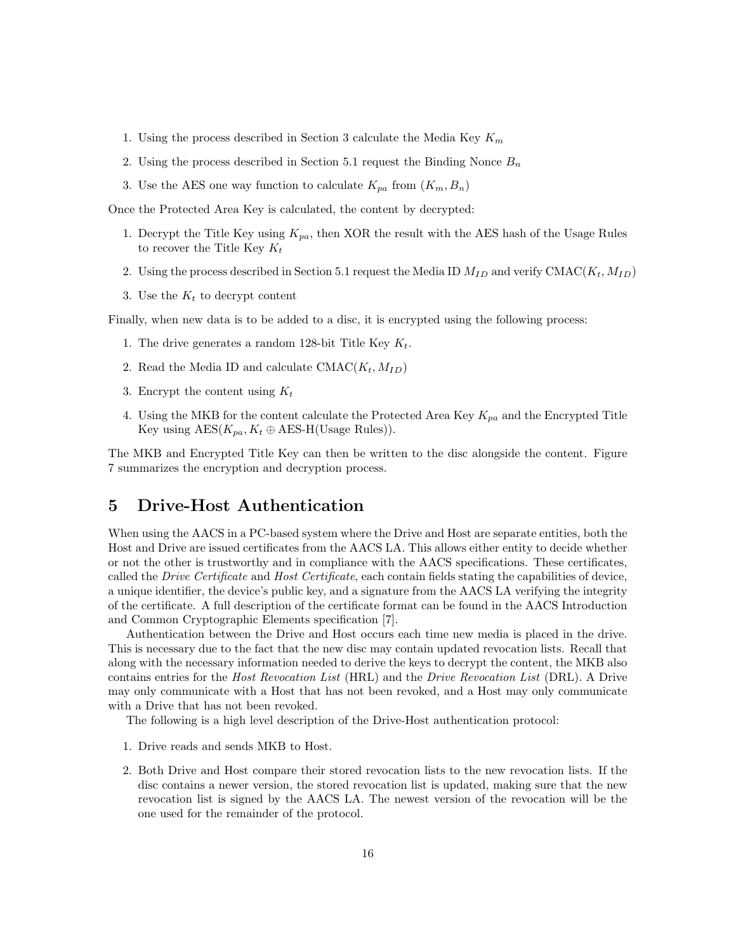- 1. Using the process described in Section 3 calculate the Media Key  $K_m$
- 2. Using the process described in Section 5.1 request the Binding Nonce  $B_n$
- 3. Use the AES one way function to calculate  $K_{pa}$  from  $(K_m, B_n)$

Once the Protected Area Key is calculated, the content by decrypted:

- 1. Decrypt the Title Key using  $K_{pa}$ , then XOR the result with the AES hash of the Usage Rules to recover the Title Key  $K_t$
- 2. Using the process described in Section 5.1 request the Media ID  $M_{ID}$  and verify CMAC( $K_t$ ,  $M_{ID}$ )
- 3. Use the  $K_t$  to decrypt content

Finally, when new data is to be added to a disc, it is encrypted using the following process:

- 1. The drive generates a random 128-bit Title Key  $K_t$ .
- 2. Read the Media ID and calculate  $CMAC(K_t, M_{ID})$
- 3. Encrypt the content using  $K_t$
- 4. Using the MKB for the content calculate the Protected Area Key  $K_{pa}$  and the Encrypted Title Key using  $\text{AES}(K_{pa}, K_t \oplus \text{AES-H}(\text{Usage Rules})).$

The MKB and Encrypted Title Key can then be written to the disc alongside the content. Figure 7 summarizes the encryption and decryption process.

## 5 Drive-Host Authentication

When using the AACS in a PC-based system where the Drive and Host are separate entities, both the Host and Drive are issued certificates from the AACS LA. This allows either entity to decide whether or not the other is trustworthy and in compliance with the AACS specifications. These certificates, called the *Drive Certificate* and *Host Certificate*, each contain fields stating the capabilities of device, a unique identifier, the device's public key, and a signature from the AACS LA verifying the integrity of the certificate. A full description of the certificate format can be found in the AACS Introduction and Common Cryptographic Elements specification [7].

Authentication between the Drive and Host occurs each time new media is placed in the drive. This is necessary due to the fact that the new disc may contain updated revocation lists. Recall that along with the necessary information needed to derive the keys to decrypt the content, the MKB also contains entries for the Host Revocation List (HRL) and the Drive Revocation List (DRL). A Drive may only communicate with a Host that has not been revoked, and a Host may only communicate with a Drive that has not been revoked.

The following is a high level description of the Drive-Host authentication protocol:

- 1. Drive reads and sends MKB to Host.
- 2. Both Drive and Host compare their stored revocation lists to the new revocation lists. If the disc contains a newer version, the stored revocation list is updated, making sure that the new revocation list is signed by the AACS LA. The newest version of the revocation will be the one used for the remainder of the protocol.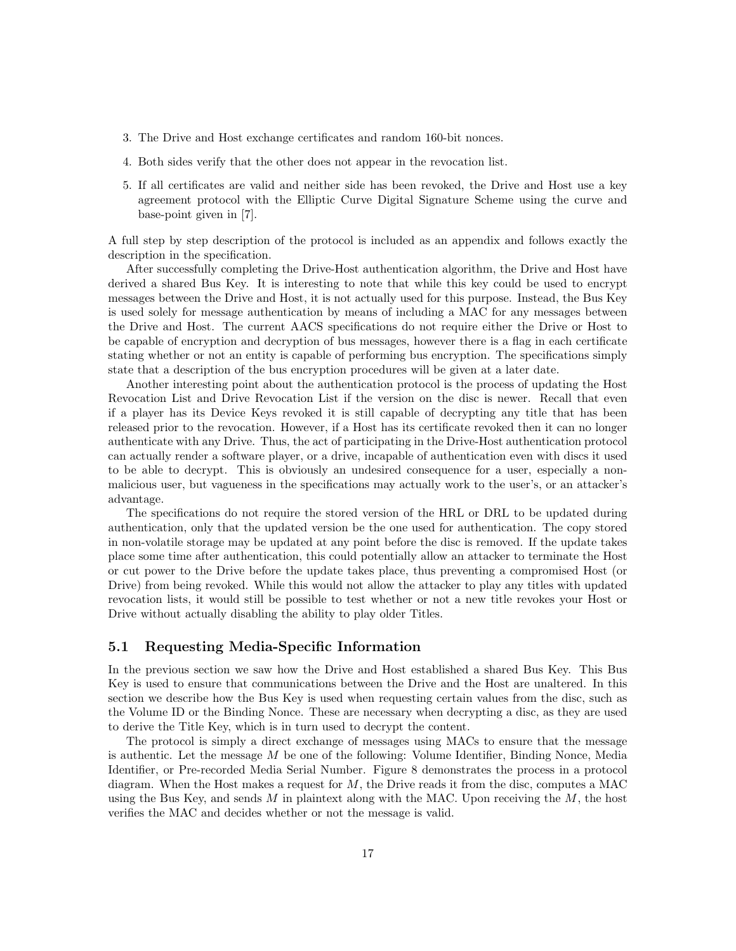- 3. The Drive and Host exchange certificates and random 160-bit nonces.
- 4. Both sides verify that the other does not appear in the revocation list.
- 5. If all certificates are valid and neither side has been revoked, the Drive and Host use a key agreement protocol with the Elliptic Curve Digital Signature Scheme using the curve and base-point given in [7].

A full step by step description of the protocol is included as an appendix and follows exactly the description in the specification.

After successfully completing the Drive-Host authentication algorithm, the Drive and Host have derived a shared Bus Key. It is interesting to note that while this key could be used to encrypt messages between the Drive and Host, it is not actually used for this purpose. Instead, the Bus Key is used solely for message authentication by means of including a MAC for any messages between the Drive and Host. The current AACS specifications do not require either the Drive or Host to be capable of encryption and decryption of bus messages, however there is a flag in each certificate stating whether or not an entity is capable of performing bus encryption. The specifications simply state that a description of the bus encryption procedures will be given at a later date.

Another interesting point about the authentication protocol is the process of updating the Host Revocation List and Drive Revocation List if the version on the disc is newer. Recall that even if a player has its Device Keys revoked it is still capable of decrypting any title that has been released prior to the revocation. However, if a Host has its certificate revoked then it can no longer authenticate with any Drive. Thus, the act of participating in the Drive-Host authentication protocol can actually render a software player, or a drive, incapable of authentication even with discs it used to be able to decrypt. This is obviously an undesired consequence for a user, especially a nonmalicious user, but vagueness in the specifications may actually work to the user's, or an attacker's advantage.

The specifications do not require the stored version of the HRL or DRL to be updated during authentication, only that the updated version be the one used for authentication. The copy stored in non-volatile storage may be updated at any point before the disc is removed. If the update takes place some time after authentication, this could potentially allow an attacker to terminate the Host or cut power to the Drive before the update takes place, thus preventing a compromised Host (or Drive) from being revoked. While this would not allow the attacker to play any titles with updated revocation lists, it would still be possible to test whether or not a new title revokes your Host or Drive without actually disabling the ability to play older Titles.

### 5.1 Requesting Media-Specific Information

In the previous section we saw how the Drive and Host established a shared Bus Key. This Bus Key is used to ensure that communications between the Drive and the Host are unaltered. In this section we describe how the Bus Key is used when requesting certain values from the disc, such as the Volume ID or the Binding Nonce. These are necessary when decrypting a disc, as they are used to derive the Title Key, which is in turn used to decrypt the content.

The protocol is simply a direct exchange of messages using MACs to ensure that the message is authentic. Let the message  $M$  be one of the following: Volume Identifier, Binding Nonce, Media Identifier, or Pre-recorded Media Serial Number. Figure 8 demonstrates the process in a protocol diagram. When the Host makes a request for  $M$ , the Drive reads it from the disc, computes a MAC using the Bus Key, and sends  $M$  in plaintext along with the MAC. Upon receiving the  $M$ , the host verifies the MAC and decides whether or not the message is valid.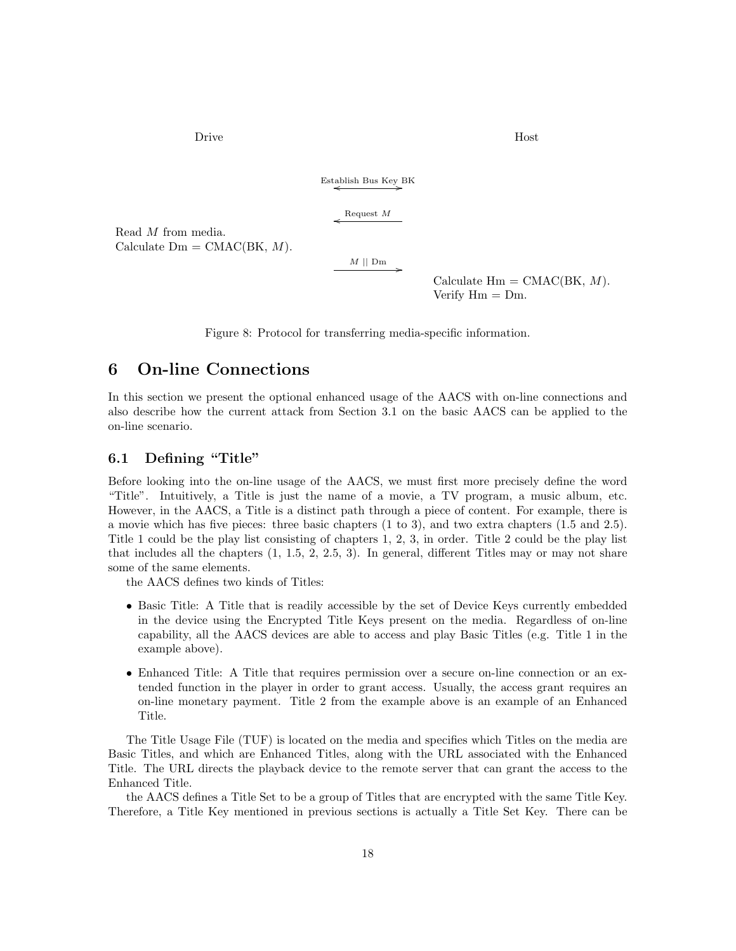Drive Host

 $\xleftarrow{\text{Estabilish Bus Key BK}}$ 

Request  $M$ 

Read M from media. Calculate  $Dm = CMAC(BK, M)$ .

 $M \parallel Dm$ 

Calculate  $\text{Hm} = \text{CMAC(BK, } M)$ . Verify  $Hm = Dm$ .

Figure 8: Protocol for transferring media-specific information.

## 6 On-line Connections

In this section we present the optional enhanced usage of the AACS with on-line connections and also describe how the current attack from Section 3.1 on the basic AACS can be applied to the on-line scenario.

## 6.1 Defining "Title"

Before looking into the on-line usage of the AACS, we must first more precisely define the word "Title". Intuitively, a Title is just the name of a movie, a TV program, a music album, etc. However, in the AACS, a Title is a distinct path through a piece of content. For example, there is a movie which has five pieces: three basic chapters (1 to 3), and two extra chapters (1.5 and 2.5). Title 1 could be the play list consisting of chapters 1, 2, 3, in order. Title 2 could be the play list that includes all the chapters (1, 1.5, 2, 2.5, 3). In general, different Titles may or may not share some of the same elements.

the AACS defines two kinds of Titles:

- Basic Title: A Title that is readily accessible by the set of Device Keys currently embedded in the device using the Encrypted Title Keys present on the media. Regardless of on-line capability, all the AACS devices are able to access and play Basic Titles (e.g. Title 1 in the example above).
- Enhanced Title: A Title that requires permission over a secure on-line connection or an extended function in the player in order to grant access. Usually, the access grant requires an on-line monetary payment. Title 2 from the example above is an example of an Enhanced Title.

The Title Usage File (TUF) is located on the media and specifies which Titles on the media are Basic Titles, and which are Enhanced Titles, along with the URL associated with the Enhanced Title. The URL directs the playback device to the remote server that can grant the access to the Enhanced Title.

the AACS defines a Title Set to be a group of Titles that are encrypted with the same Title Key. Therefore, a Title Key mentioned in previous sections is actually a Title Set Key. There can be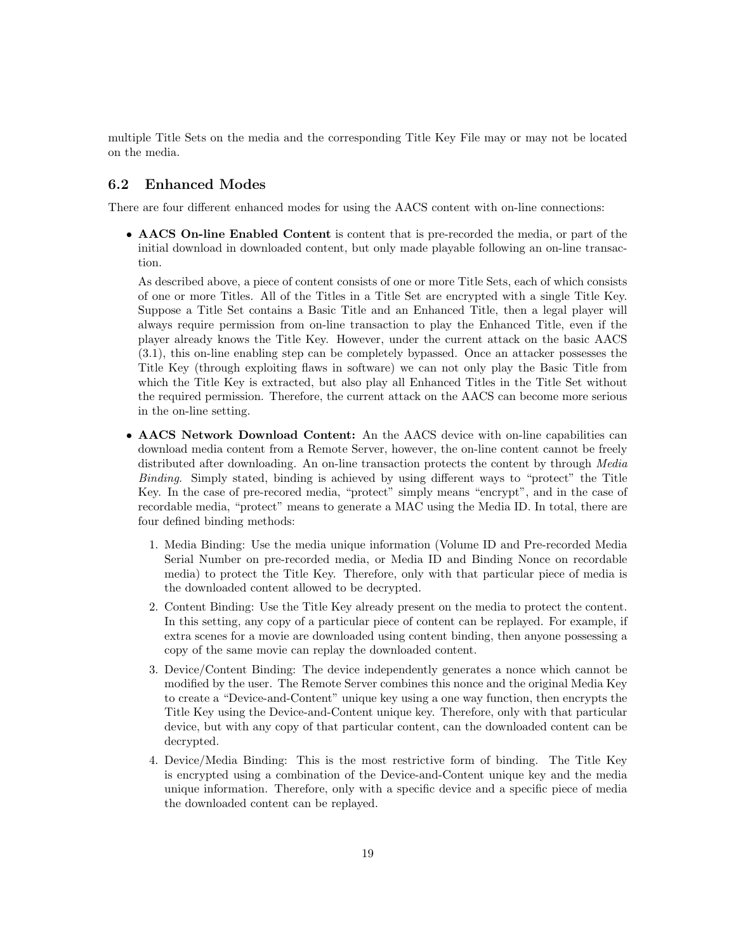multiple Title Sets on the media and the corresponding Title Key File may or may not be located on the media.

## 6.2 Enhanced Modes

There are four different enhanced modes for using the AACS content with on-line connections:

• AACS On-line Enabled Content is content that is pre-recorded the media, or part of the initial download in downloaded content, but only made playable following an on-line transaction.

As described above, a piece of content consists of one or more Title Sets, each of which consists of one or more Titles. All of the Titles in a Title Set are encrypted with a single Title Key. Suppose a Title Set contains a Basic Title and an Enhanced Title, then a legal player will always require permission from on-line transaction to play the Enhanced Title, even if the player already knows the Title Key. However, under the current attack on the basic AACS (3.1), this on-line enabling step can be completely bypassed. Once an attacker possesses the Title Key (through exploiting flaws in software) we can not only play the Basic Title from which the Title Key is extracted, but also play all Enhanced Titles in the Title Set without the required permission. Therefore, the current attack on the AACS can become more serious in the on-line setting.

- AACS Network Download Content: An the AACS device with on-line capabilities can download media content from a Remote Server, however, the on-line content cannot be freely distributed after downloading. An on-line transaction protects the content by through Media Binding. Simply stated, binding is achieved by using different ways to "protect" the Title Key. In the case of pre-recored media, "protect" simply means "encrypt", and in the case of recordable media, "protect" means to generate a MAC using the Media ID. In total, there are four defined binding methods:
	- 1. Media Binding: Use the media unique information (Volume ID and Pre-recorded Media Serial Number on pre-recorded media, or Media ID and Binding Nonce on recordable media) to protect the Title Key. Therefore, only with that particular piece of media is the downloaded content allowed to be decrypted.
	- 2. Content Binding: Use the Title Key already present on the media to protect the content. In this setting, any copy of a particular piece of content can be replayed. For example, if extra scenes for a movie are downloaded using content binding, then anyone possessing a copy of the same movie can replay the downloaded content.
	- 3. Device/Content Binding: The device independently generates a nonce which cannot be modified by the user. The Remote Server combines this nonce and the original Media Key to create a "Device-and-Content" unique key using a one way function, then encrypts the Title Key using the Device-and-Content unique key. Therefore, only with that particular device, but with any copy of that particular content, can the downloaded content can be decrypted.
	- 4. Device/Media Binding: This is the most restrictive form of binding. The Title Key is encrypted using a combination of the Device-and-Content unique key and the media unique information. Therefore, only with a specific device and a specific piece of media the downloaded content can be replayed.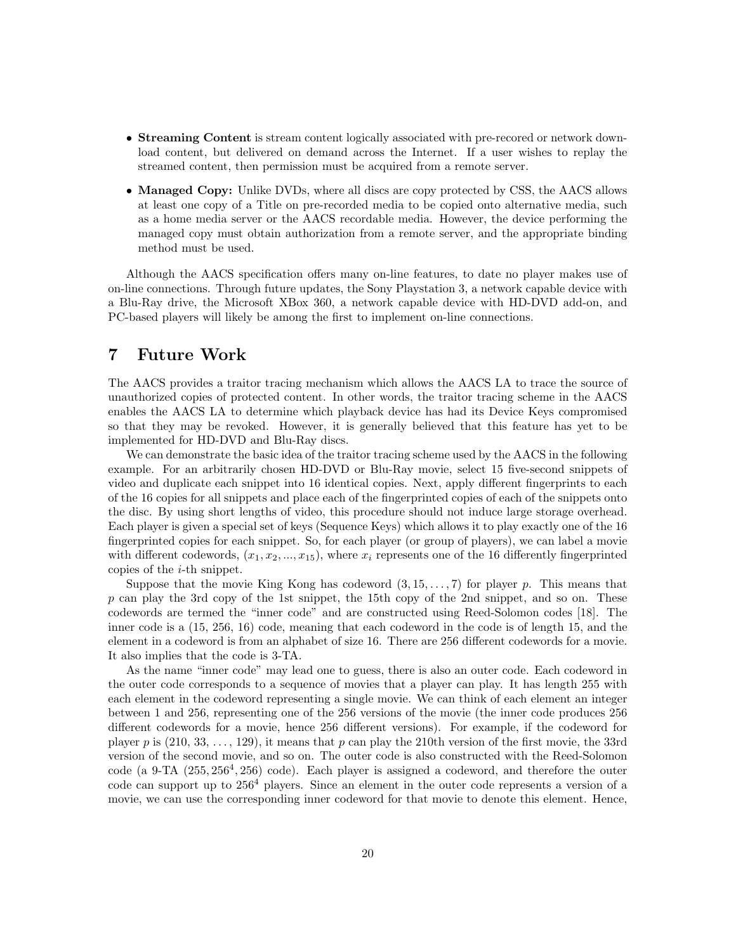- Streaming Content is stream content logically associated with pre-recored or network download content, but delivered on demand across the Internet. If a user wishes to replay the streamed content, then permission must be acquired from a remote server.
- Managed Copy: Unlike DVDs, where all discs are copy protected by CSS, the AACS allows at least one copy of a Title on pre-recorded media to be copied onto alternative media, such as a home media server or the AACS recordable media. However, the device performing the managed copy must obtain authorization from a remote server, and the appropriate binding method must be used.

Although the AACS specification offers many on-line features, to date no player makes use of on-line connections. Through future updates, the Sony Playstation 3, a network capable device with a Blu-Ray drive, the Microsoft XBox 360, a network capable device with HD-DVD add-on, and PC-based players will likely be among the first to implement on-line connections.

## 7 Future Work

The AACS provides a traitor tracing mechanism which allows the AACS LA to trace the source of unauthorized copies of protected content. In other words, the traitor tracing scheme in the AACS enables the AACS LA to determine which playback device has had its Device Keys compromised so that they may be revoked. However, it is generally believed that this feature has yet to be implemented for HD-DVD and Blu-Ray discs.

We can demonstrate the basic idea of the traitor tracing scheme used by the AACS in the following example. For an arbitrarily chosen HD-DVD or Blu-Ray movie, select 15 five-second snippets of video and duplicate each snippet into 16 identical copies. Next, apply different fingerprints to each of the 16 copies for all snippets and place each of the fingerprinted copies of each of the snippets onto the disc. By using short lengths of video, this procedure should not induce large storage overhead. Each player is given a special set of keys (Sequence Keys) which allows it to play exactly one of the 16 fingerprinted copies for each snippet. So, for each player (or group of players), we can label a movie with different codewords,  $(x_1, x_2, ..., x_{15})$ , where  $x_i$  represents one of the 16 differently fingerprinted copies of the i-th snippet.

Suppose that the movie King Kong has codeword  $(3, 15, \ldots, 7)$  for player p. This means that p can play the 3rd copy of the 1st snippet, the 15th copy of the 2nd snippet, and so on. These codewords are termed the "inner code" and are constructed using Reed-Solomon codes [18]. The inner code is a (15, 256, 16) code, meaning that each codeword in the code is of length 15, and the element in a codeword is from an alphabet of size 16. There are 256 different codewords for a movie. It also implies that the code is 3-TA.

As the name "inner code" may lead one to guess, there is also an outer code. Each codeword in the outer code corresponds to a sequence of movies that a player can play. It has length 255 with each element in the codeword representing a single movie. We can think of each element an integer between 1 and 256, representing one of the 256 versions of the movie (the inner code produces 256 different codewords for a movie, hence 256 different versions). For example, if the codeword for player p is  $(210, 33, \ldots, 129)$ , it means that p can play the 210th version of the first movie, the 33rd version of the second movie, and so on. The outer code is also constructed with the Reed-Solomon  $code (a 9-TA (255, 256<sup>4</sup>, 256) code).$  Each player is assigned a codeword, and therefore the outer code can support up to 256<sup>4</sup> players. Since an element in the outer code represents a version of a movie, we can use the corresponding inner codeword for that movie to denote this element. Hence,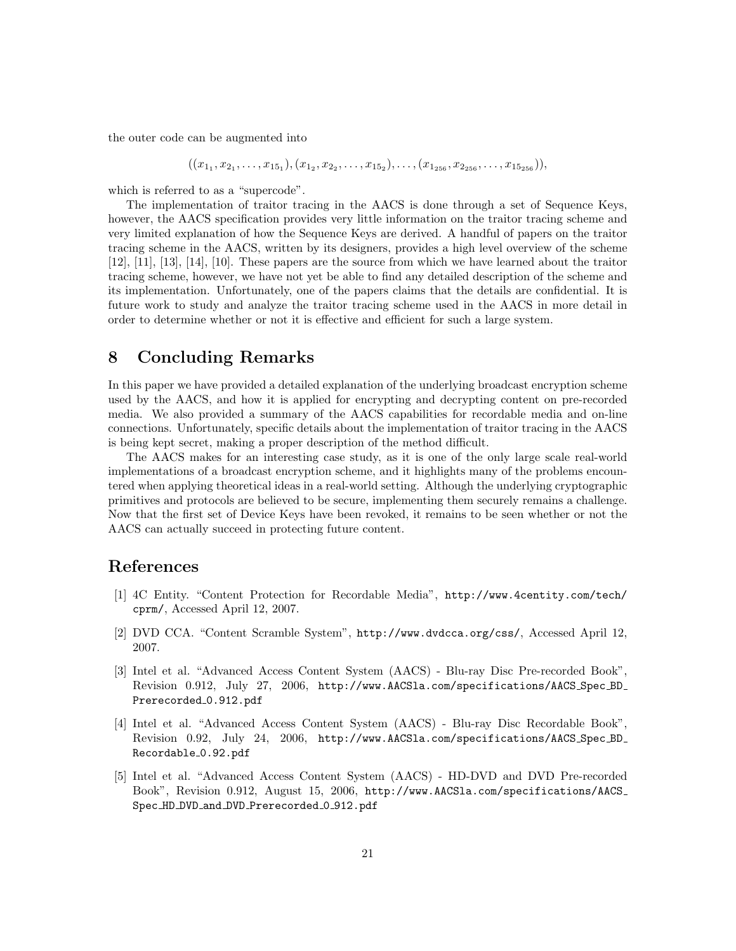the outer code can be augmented into

$$
((x_{1_1}, x_{2_1}, \ldots, x_{15_1}), (x_{1_2}, x_{2_2}, \ldots, x_{15_2}), \ldots, (x_{1_{256}}, x_{2_{256}}, \ldots, x_{15_{256}})),
$$

which is referred to as a "supercode".

The implementation of traitor tracing in the AACS is done through a set of Sequence Keys, however, the AACS specification provides very little information on the traitor tracing scheme and very limited explanation of how the Sequence Keys are derived. A handful of papers on the traitor tracing scheme in the AACS, written by its designers, provides a high level overview of the scheme [12], [11], [13], [14], [10]. These papers are the source from which we have learned about the traitor tracing scheme, however, we have not yet be able to find any detailed description of the scheme and its implementation. Unfortunately, one of the papers claims that the details are confidential. It is future work to study and analyze the traitor tracing scheme used in the AACS in more detail in order to determine whether or not it is effective and efficient for such a large system.

## 8 Concluding Remarks

In this paper we have provided a detailed explanation of the underlying broadcast encryption scheme used by the AACS, and how it is applied for encrypting and decrypting content on pre-recorded media. We also provided a summary of the AACS capabilities for recordable media and on-line connections. Unfortunately, specific details about the implementation of traitor tracing in the AACS is being kept secret, making a proper description of the method difficult.

The AACS makes for an interesting case study, as it is one of the only large scale real-world implementations of a broadcast encryption scheme, and it highlights many of the problems encountered when applying theoretical ideas in a real-world setting. Although the underlying cryptographic primitives and protocols are believed to be secure, implementing them securely remains a challenge. Now that the first set of Device Keys have been revoked, it remains to be seen whether or not the AACS can actually succeed in protecting future content.

## References

- [1] 4C Entity. "Content Protection for Recordable Media", http://www.4centity.com/tech/ cprm/, Accessed April 12, 2007.
- [2] DVD CCA. "Content Scramble System", http://www.dvdcca.org/css/, Accessed April 12, 2007.
- [3] Intel et al. "Advanced Access Content System (AACS) Blu-ray Disc Pre-recorded Book", Revision 0.912, July 27, 2006, http://www.AACSla.com/specifications/AACS Spec BD Prerecorded 0.912.pdf
- [4] Intel et al. "Advanced Access Content System (AACS) Blu-ray Disc Recordable Book", Revision 0.92, July 24, 2006, http://www.AACSla.com/specifications/AACS Spec BD Recordable 0.92.pdf
- [5] Intel et al. "Advanced Access Content System (AACS) HD-DVD and DVD Pre-recorded Book", Revision 0.912, August 15, 2006, http://www.AACSla.com/specifications/AACS Spec\_HD\_DVD\_and\_DVD\_Prerecorded\_0\_912.pdf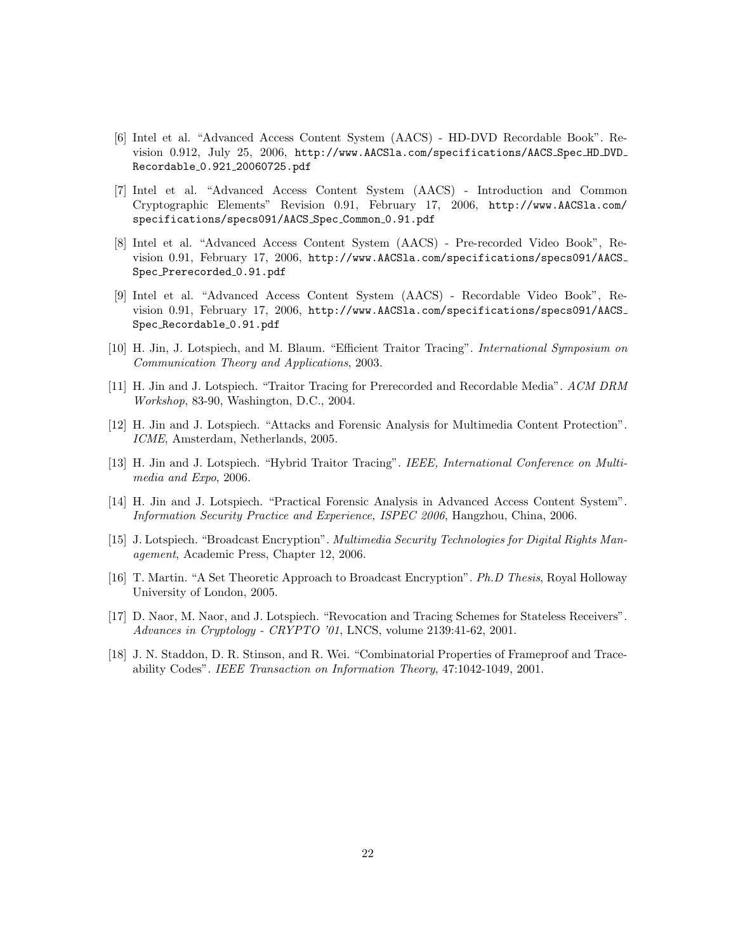- [6] Intel et al. "Advanced Access Content System (AACS) HD-DVD Recordable Book". Revision 0.912, July 25, 2006, http://www.AACSla.com/specifications/AACS Spec HD DVD Recordable 0.921 20060725.pdf
- [7] Intel et al. "Advanced Access Content System (AACS) Introduction and Common Cryptographic Elements" Revision 0.91, February 17, 2006, http://www.AACSla.com/ specifications/specs091/AACS\_Spec\_Common\_0.91.pdf
- [8] Intel et al. "Advanced Access Content System (AACS) Pre-recorded Video Book", Revision 0.91, February 17, 2006, http://www.AACSla.com/specifications/specs091/AACS Spec Prerecorded 0.91.pdf
- [9] Intel et al. "Advanced Access Content System (AACS) Recordable Video Book", Revision 0.91, February 17, 2006, http://www.AACSla.com/specifications/specs091/AACS Spec\_Recordable\_0.91.pdf
- [10] H. Jin, J. Lotspiech, and M. Blaum. "Efficient Traitor Tracing". International Symposium on Communication Theory and Applications, 2003.
- [11] H. Jin and J. Lotspiech. "Traitor Tracing for Prerecorded and Recordable Media". ACM DRM Workshop, 83-90, Washington, D.C., 2004.
- [12] H. Jin and J. Lotspiech. "Attacks and Forensic Analysis for Multimedia Content Protection". ICME, Amsterdam, Netherlands, 2005.
- [13] H. Jin and J. Lotspiech. "Hybrid Traitor Tracing". IEEE, International Conference on Multimedia and Expo, 2006.
- [14] H. Jin and J. Lotspiech. "Practical Forensic Analysis in Advanced Access Content System". Information Security Practice and Experience, ISPEC 2006, Hangzhou, China, 2006.
- [15] J. Lotspiech. "Broadcast Encryption". Multimedia Security Technologies for Digital Rights Management, Academic Press, Chapter 12, 2006.
- [16] T. Martin. "A Set Theoretic Approach to Broadcast Encryption". Ph.D Thesis, Royal Holloway University of London, 2005.
- [17] D. Naor, M. Naor, and J. Lotspiech. "Revocation and Tracing Schemes for Stateless Receivers". Advances in Cryptology - CRYPTO '01, LNCS, volume 2139:41-62, 2001.
- [18] J. N. Staddon, D. R. Stinson, and R. Wei. "Combinatorial Properties of Frameproof and Traceability Codes". IEEE Transaction on Information Theory, 47:1042-1049, 2001.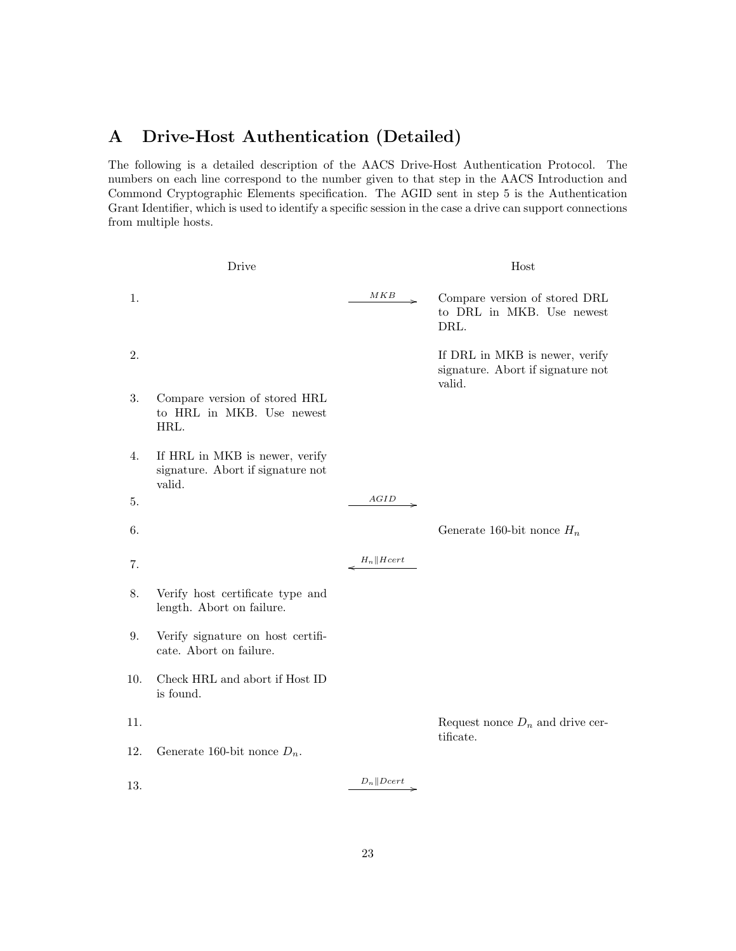# A Drive-Host Authentication (Detailed)

The following is a detailed description of the AACS Drive-Host Authentication Protocol. The numbers on each line correspond to the number given to that step in the AACS Introduction and Commond Cryptographic Elements specification. The AGID sent in step 5 is the Authentication Grant Identifier, which is used to identify a specific session in the case a drive can support connections from multiple hosts.

|     | Drive                                                                         |                       | Host                                                                          |
|-----|-------------------------------------------------------------------------------|-----------------------|-------------------------------------------------------------------------------|
| 1.  |                                                                               | MKB                   | Compare version of stored DRL<br>to DRL in MKB. Use newest<br>DRL.            |
| 2.  |                                                                               |                       | If DRL in MKB is newer, verify<br>signature. Abort if signature not<br>valid. |
| 3.  | Compare version of stored HRL<br>to HRL in MKB. Use newest<br>HRL.            |                       |                                                                               |
| 4.  | If HRL in MKB is newer, verify<br>signature. Abort if signature not<br>valid. |                       |                                                                               |
| 5.  |                                                                               | AGID                  |                                                                               |
| 6.  |                                                                               |                       | Generate 160-bit nonce $H_n$                                                  |
| 7.  |                                                                               | $H_n \parallel Hcert$ |                                                                               |
| 8.  | Verify host certificate type and<br>length. Abort on failure.                 |                       |                                                                               |
| 9.  | Verify signature on host certifi-<br>cate. Abort on failure.                  |                       |                                                                               |
| 10. | Check HRL and abort if Host ID<br>is found.                                   |                       |                                                                               |
| 11. |                                                                               |                       | Request nonce $D_n$ and drive cer-<br>tificate.                               |
| 12. | Generate 160-bit nonce $D_n$ .                                                |                       |                                                                               |
| 13. |                                                                               | $D_n  Dcert$          |                                                                               |